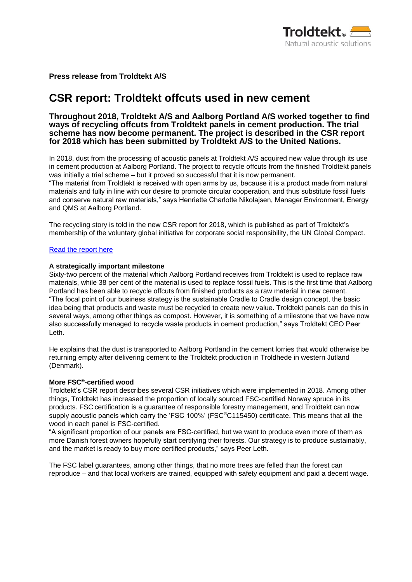

**Press release from Troldtekt A/S**

# **CSR report: Troldtekt offcuts used in new cement**

## **Throughout 2018, Troldtekt A/S and Aalborg Portland A/S worked together to find ways of recycling offcuts from Troldtekt panels in cement production. The trial scheme has now become permanent. The project is described in the CSR report for 2018 which has been submitted by Troldtekt A/S to the United Nations.**

In 2018, dust from the processing of acoustic panels at Troldtekt A/S acquired new value through its use in cement production at Aalborg Portland. The project to recycle offcuts from the finished Troldtekt panels was initially a trial scheme – but it proved so successful that it is now permanent.

"The material from Troldtekt is received with open arms by us, because it is a product made from natural materials and fully in line with our desire to promote circular cooperation, and thus substitute fossil fuels and conserve natural raw materials," says Henriette Charlotte Nikolajsen, Manager Environment, Energy and QMS at Aalborg Portland.

The recycling story is told in the new CSR report for 2018, which is published as part of Troldtekt's membership of the voluntary global initiative for corporate social responsibility, the UN Global Compact.

#### [Read the report here](https://www.troldtekt.com/~/media/Files/CSR%20reports%20and%20code%20of%20conduct/English/Troldtekt_CSR_2018_UK%20pdf.pdf)

#### **A strategically important milestone**

Sixty-two percent of the material which Aalborg Portland receives from Troldtekt is used to replace raw materials, while 38 per cent of the material is used to replace fossil fuels. This is the first time that Aalborg Portland has been able to recycle offcuts from finished products as a raw material in new cement. "The focal point of our business strategy is the sustainable Cradle to Cradle design concept, the basic idea being that products and waste must be recycled to create new value. Troldtekt panels can do this in several ways, among other things as compost. However, it is something of a milestone that we have now also successfully managed to recycle waste products in cement production," says Troldtekt CEO Peer Leth.

He explains that the dust is transported to Aalborg Portland in the cement lorries that would otherwise be returning empty after delivering cement to the Troldtekt production in Troldhede in western Jutland (Denmark).

#### **More FSC®-certified wood**

Troldtekt's CSR report describes several CSR initiatives which were implemented in 2018. Among other things, Troldtekt has increased the proportion of locally sourced FSC-certified Norway spruce in its products. FSC certification is a guarantee of responsible forestry management, and Troldtekt can now supply acoustic panels which carry the 'FSC 100%' (FSC<sup>®</sup>C115450) certificate. This means that all the wood in each panel is FSC-certified.

"A significant proportion of our panels are FSC-certified, but we want to produce even more of them as more Danish forest owners hopefully start certifying their forests. Our strategy is to produce sustainably, and the market is ready to buy more certified products," says Peer Leth.

The FSC label guarantees, among other things, that no more trees are felled than the forest can reproduce – and that local workers are trained, equipped with safety equipment and paid a decent wage.